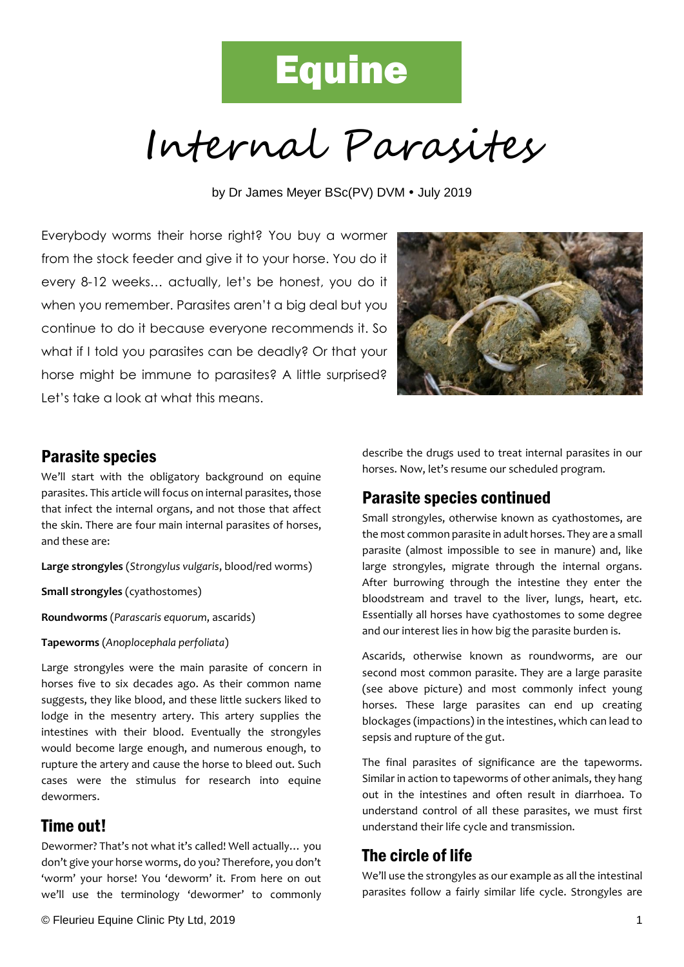# **Equine**

Internal Parasites

by Dr James Meyer BSc(PV) DVM . July 2019

Everybody worms their horse right? You buy a wormer from the stock feeder and give it to your horse. You do it every 8-12 weeks… actually, let's be honest, you do it when you remember. Parasites aren't a big deal but you continue to do it because everyone recommends it. So what if I told you parasites can be deadly? Or that your horse might be immune to parasites? A little surprised? Let's take a look at what this means.



#### Parasite species

We'll start with the obligatory background on equine parasites. This article will focus on internal parasites, those that infect the internal organs, and not those that affect the skin. There are four main internal parasites of horses, and these are:

**Large strongyles** (*Strongylus vulgaris*, blood/red worms)

**Small strongyles** (cyathostomes)

**Roundworms** (*Parascaris equorum*, ascarids)

**Tapeworms** (*Anoplocephala perfoliata*)

Large strongyles were the main parasite of concern in horses five to six decades ago. As their common name suggests, they like blood, and these little suckers liked to lodge in the mesentry artery. This artery supplies the intestines with their blood. Eventually the strongyles would become large enough, and numerous enough, to rupture the artery and cause the horse to bleed out. Such cases were the stimulus for research into equine dewormers.

#### Time out!

Dewormer? That's not what it's called! Well actually… you don't give your horse worms, do you? Therefore, you don't 'worm' your horse! You 'deworm' it. From here on out we'll use the terminology 'dewormer' to commonly

© Fleurieu Equine Clinic Pty Ltd, 2019 1

describe the drugs used to treat internal parasites in our horses. Now, let's resume our scheduled program.

#### Parasite species continued

Small strongyles, otherwise known as cyathostomes, are the most common parasite in adult horses. They are a small parasite (almost impossible to see in manure) and, like large strongyles, migrate through the internal organs. After burrowing through the intestine they enter the bloodstream and travel to the liver, lungs, heart, etc. Essentially all horses have cyathostomes to some degree and our interest lies in how big the parasite burden is.

Ascarids, otherwise known as roundworms, are our second most common parasite. They are a large parasite (see above picture) and most commonly infect young horses. These large parasites can end up creating blockages (impactions) in the intestines, which can lead to sepsis and rupture of the gut.

The final parasites of significance are the tapeworms. Similar in action to tapeworms of other animals, they hang out in the intestines and often result in diarrhoea. To understand control of all these parasites, we must first understand their life cycle and transmission.

#### The circle of life

We'll use the strongyles as our example as all the intestinal parasites follow a fairly similar life cycle. Strongyles are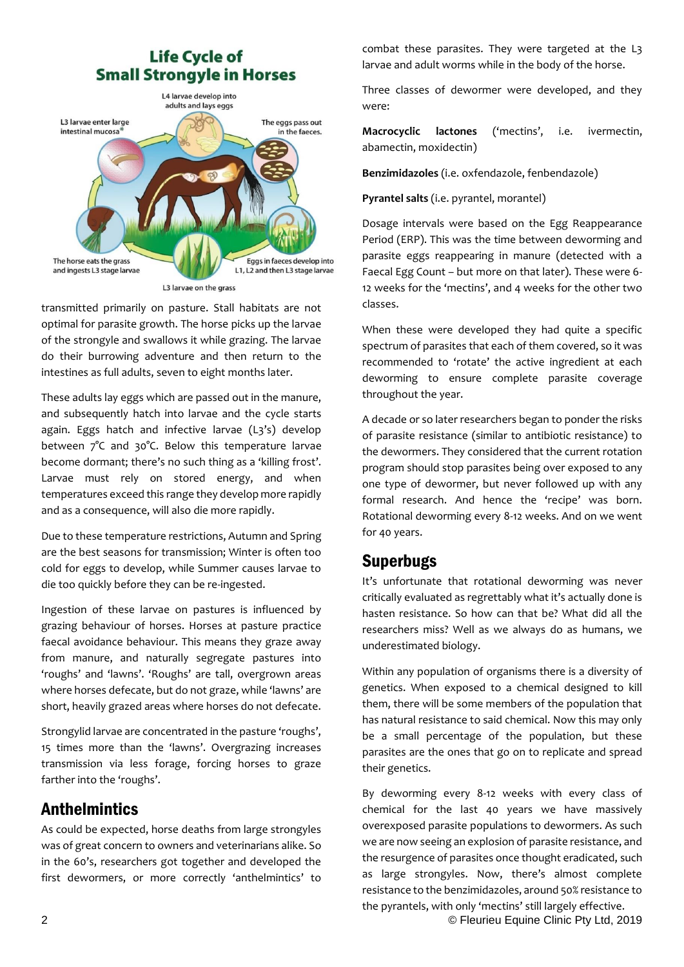## **Life Cycle of Small Strongyle in Horses**



transmitted primarily on pasture. Stall habitats are not optimal for parasite growth. The horse picks up the larvae of the strongyle and swallows it while grazing. The larvae do their burrowing adventure and then return to the intestines as full adults, seven to eight months later.

These adults lay eggs which are passed out in the manure, and subsequently hatch into larvae and the cycle starts again. Eggs hatch and infective larvae (L3's) develop between 7°C and 30°C. Below this temperature larvae become dormant; there's no such thing as a 'killing frost'. Larvae must rely on stored energy, and when temperatures exceed this range they develop more rapidly and as a consequence, will also die more rapidly.

Due to these temperature restrictions, Autumn and Spring are the best seasons for transmission; Winter is often too cold for eggs to develop, while Summer causes larvae to die too quickly before they can be re-ingested.

Ingestion of these larvae on pastures is influenced by grazing behaviour of horses. Horses at pasture practice faecal avoidance behaviour. This means they graze away from manure, and naturally segregate pastures into 'roughs' and 'lawns'. 'Roughs' are tall, overgrown areas where horses defecate, but do not graze, while 'lawns' are short, heavily grazed areas where horses do not defecate.

Strongylid larvae are concentrated in the pasture 'roughs', 15 times more than the 'lawns'. Overgrazing increases transmission via less forage, forcing horses to graze farther into the 'roughs'.

## **Anthelmintics**

As could be expected, horse deaths from large strongyles was of great concern to owners and veterinarians alike. So in the 60's, researchers got together and developed the first dewormers, or more correctly 'anthelmintics' to

combat these parasites. They were targeted at the L3 larvae and adult worms while in the body of the horse.

Three classes of dewormer were developed, and they were:

**Macrocyclic lactones** ('mectins', i.e. ivermectin, abamectin, moxidectin)

**Benzimidazoles** (i.e. oxfendazole, fenbendazole)

**Pyrantel salts** (i.e. pyrantel, morantel)

Dosage intervals were based on the Egg Reappearance Period (ERP). This was the time between deworming and parasite eggs reappearing in manure (detected with a Faecal Egg Count – but more on that later). These were 6- 12 weeks for the 'mectins', and 4 weeks for the other two classes.

When these were developed they had quite a specific spectrum of parasites that each of them covered, so it was recommended to 'rotate' the active ingredient at each deworming to ensure complete parasite coverage throughout the year.

A decade or so later researchers began to ponder the risks of parasite resistance (similar to antibiotic resistance) to the dewormers. They considered that the current rotation program should stop parasites being over exposed to any one type of dewormer, but never followed up with any formal research. And hence the 'recipe' was born. Rotational deworming every 8-12 weeks. And on we went for 40 years.

## Superbugs

It's unfortunate that rotational deworming was never critically evaluated as regrettably what it's actually done is hasten resistance. So how can that be? What did all the researchers miss? Well as we always do as humans, we underestimated biology.

Within any population of organisms there is a diversity of genetics. When exposed to a chemical designed to kill them, there will be some members of the population that has natural resistance to said chemical. Now this may only be a small percentage of the population, but these parasites are the ones that go on to replicate and spread their genetics.

By deworming every 8-12 weeks with every class of chemical for the last 40 years we have massively overexposed parasite populations to dewormers. As such we are now seeing an explosion of parasite resistance, and the resurgence of parasites once thought eradicated, such as large strongyles. Now, there's almost complete resistance to the benzimidazoles, around 50% resistance to the pyrantels, with only 'mectins' still largely effective.

2 © Fleurieu Equine Clinic Pty Ltd, 2019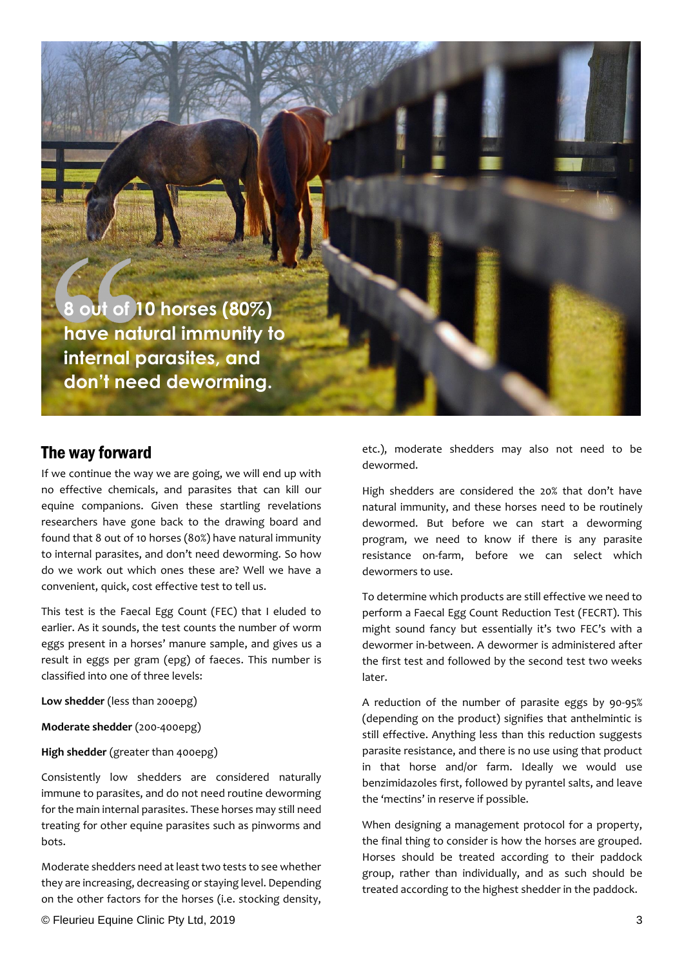**8 out of 10 horses (80%) have natural immunity to internal parasites, and don't need deworming.**

### The way forward

If we continue the way we are going, we will end up with no effective chemicals, and parasites that can kill our equine companions. Given these startling revelations researchers have gone back to the drawing board and found that 8 out of 10 horses (80%) have natural immunity to internal parasites, and don't need deworming. So how do we work out which ones these are? Well we have a convenient, quick, cost effective test to tell us.

This test is the Faecal Egg Count (FEC) that I eluded to earlier. As it sounds, the test counts the number of worm eggs present in a horses' manure sample, and gives us a result in eggs per gram (epg) of faeces. This number is classified into one of three levels:

**Low shedder** (less than 200epg)

**Moderate shedder** (200-400epg)

**High shedder** (greater than 400epg)

Consistently low shedders are considered naturally immune to parasites, and do not need routine deworming for the main internal parasites. These horses may still need treating for other equine parasites such as pinworms and bots.

Moderate shedders need at least two tests to see whether they are increasing, decreasing or staying level. Depending on the other factors for the horses (i.e. stocking density,

etc.), moderate shedders may also not need to be dewormed.

High shedders are considered the 20% that don't have natural immunity, and these horses need to be routinely dewormed. But before we can start a deworming program, we need to know if there is any parasite resistance on-farm, before we can select which dewormers to use.

To determine which products are still effective we need to perform a Faecal Egg Count Reduction Test (FECRT). This might sound fancy but essentially it's two FEC's with a dewormer in-between. A dewormer is administered after the first test and followed by the second test two weeks later.

A reduction of the number of parasite eggs by 90-95% (depending on the product) signifies that anthelmintic is still effective. Anything less than this reduction suggests parasite resistance, and there is no use using that product in that horse and/or farm. Ideally we would use benzimidazoles first, followed by pyrantel salts, and leave the 'mectins' in reserve if possible.

When designing a management protocol for a property, the final thing to consider is how the horses are grouped. Horses should be treated according to their paddock group, rather than individually, and as such should be treated according to the highest shedder in the paddock.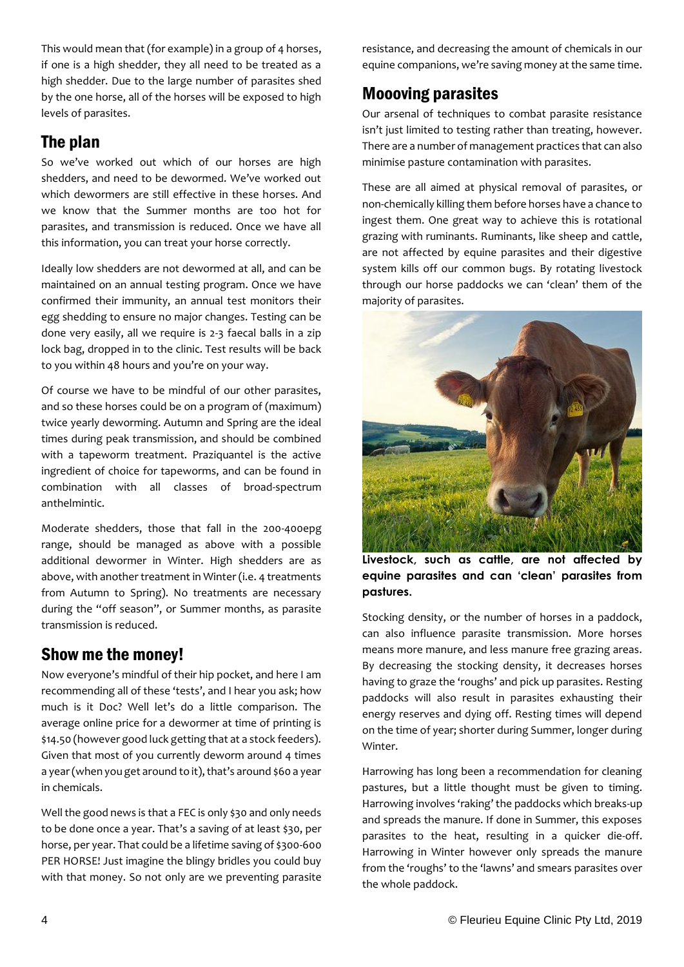This would mean that (for example) in a group of 4 horses, if one is a high shedder, they all need to be treated as a high shedder. Due to the large number of parasites shed by the one horse, all of the horses will be exposed to high levels of parasites.

## The plan

So we've worked out which of our horses are high shedders, and need to be dewormed. We've worked out which dewormers are still effective in these horses. And we know that the Summer months are too hot for parasites, and transmission is reduced. Once we have all this information, you can treat your horse correctly.

Ideally low shedders are not dewormed at all, and can be maintained on an annual testing program. Once we have confirmed their immunity, an annual test monitors their egg shedding to ensure no major changes. Testing can be done very easily, all we require is 2-3 faecal balls in a zip lock bag, dropped in to the clinic. Test results will be back to you within 48 hours and you're on your way.

Of course we have to be mindful of our other parasites, and so these horses could be on a program of (maximum) twice yearly deworming. Autumn and Spring are the ideal times during peak transmission, and should be combined with a tapeworm treatment. Praziquantel is the active ingredient of choice for tapeworms, and can be found in combination with all classes of broad-spectrum anthelmintic.

Moderate shedders, those that fall in the 200-400epg range, should be managed as above with a possible additional dewormer in Winter. High shedders are as above, with another treatment in Winter (i.e. 4 treatments from Autumn to Spring). No treatments are necessary during the "off season", or Summer months, as parasite transmission is reduced.

## Show me the money!

Now everyone's mindful of their hip pocket, and here I am recommending all of these 'tests', and I hear you ask; how much is it Doc? Well let's do a little comparison. The average online price for a dewormer at time of printing is \$14.50 (however good luck getting that at a stock feeders). Given that most of you currently deworm around 4 times a year (when you get around to it), that's around \$60 a year in chemicals.

Well the good news is that a FEC is only \$30 and only needs to be done once a year. That's a saving of at least \$30, per horse, per year. That could be a lifetime saving of \$300-600 PER HORSE! Just imagine the blingy bridles you could buy with that money. So not only are we preventing parasite

resistance, and decreasing the amount of chemicals in our equine companions, we're saving money at the same time.

# Moooving parasites

Our arsenal of techniques to combat parasite resistance isn't just limited to testing rather than treating, however. There are a number of management practices that can also minimise pasture contamination with parasites.

These are all aimed at physical removal of parasites, or non-chemically killing them before horses have a chance to ingest them. One great way to achieve this is rotational grazing with ruminants. Ruminants, like sheep and cattle, are not affected by equine parasites and their digestive system kills off our common bugs. By rotating livestock through our horse paddocks we can 'clean' them of the majority of parasites.



**Livestock, such as cattle, are not affected by equine parasites and can 'clean' parasites from pastures.**

Stocking density, or the number of horses in a paddock, can also influence parasite transmission. More horses means more manure, and less manure free grazing areas. By decreasing the stocking density, it decreases horses having to graze the 'roughs' and pick up parasites. Resting paddocks will also result in parasites exhausting their energy reserves and dying off. Resting times will depend on the time of year; shorter during Summer, longer during Winter.

Harrowing has long been a recommendation for cleaning pastures, but a little thought must be given to timing. Harrowing involves 'raking' the paddocks which breaks-up and spreads the manure. If done in Summer, this exposes parasites to the heat, resulting in a quicker die-off. Harrowing in Winter however only spreads the manure from the 'roughs' to the 'lawns' and smears parasites over the whole paddock.